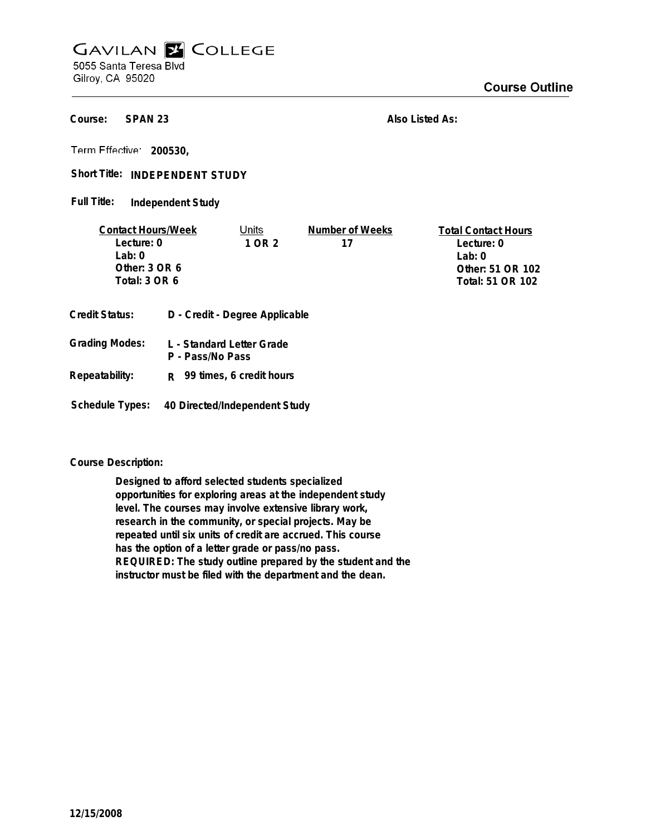## **GAVILAN E COLLEGE** 5055 Santa Teresa Blvd

Gilroy, CA 95020

**SPAN 23 Course:**

**Also Listed As:**

**200530,**

Short Title: INDEPENDENT STUDY

**Independent Study Full Title:**

| <b>Contact Hours/Week</b> |                                | Units                     | Number of Weeks | <b>Total Contact Hours</b> |
|---------------------------|--------------------------------|---------------------------|-----------------|----------------------------|
| Lecture: 0                |                                | 1 OR 2                    | 17              | Lecture: 0                 |
| Lab: $0$                  |                                |                           |                 | Lab: $0$                   |
| Other: 3 OR 6             |                                |                           |                 | Other: 51 OR 102           |
| Total: 3 OR 6             |                                |                           |                 | Total: 51 OR 102           |
| Credit Status:            | D - Credit - Degree Applicable |                           |                 |                            |
| Grading Modes:            |                                | L - Standard Letter Grade |                 |                            |

| <b>Grading Modes:</b> | L - Standard Letter Grade<br>P - Pass/No Pass |
|-----------------------|-----------------------------------------------|
| Repeatability:        | $R$ 99 times, 6 credit hours                  |

**Schedule Types: 40 Directed/Independent Study**

**Course Description:**

**Designed to afford selected students specialized opportunities for exploring areas at the independent study level. The courses may involve extensive library work, research in the community, or special projects. May be repeated until six units of credit are accrued. This course has the option of a letter grade or pass/no pass. REQUIRED: The study outline prepared by the student and the instructor must be filed with the department and the dean.**